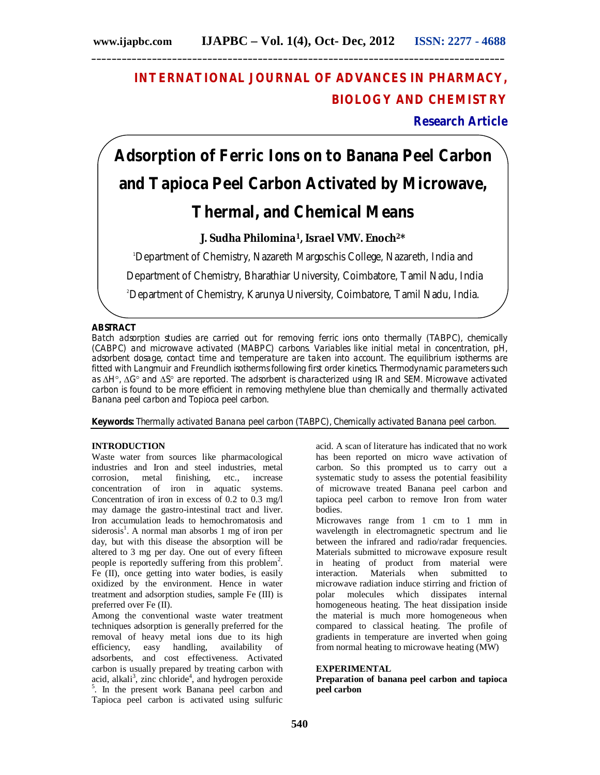# **INTERNATIONAL JOURNAL OF ADVANCES IN PHARMACY, BIOLOGY AND CHEMISTRY**

**Research Article**

# **Adsorption of Ferric Ions on to Banana Peel Carbon and Tapioca Peel Carbon Activated by Microwave, Thermal, and Chemical Means**

# **J. Sudha Philomina1, Israel VMV. Enoch2\***

<sup>1</sup>Department of Chemistry, Nazareth Margoschis College, Nazareth, India and

Department of Chemistry, Bharathiar University, Coimbatore, Tamil Nadu, India

2Department of Chemistry, Karunya University, Coimbatore, Tamil Nadu, India.

# **ABSTRACT**

Batch adsorption studies are carried out for removing ferric ions onto thermally (TABPC), chemically (CABPC) and microwave activated (MABPC) carbons. Variables like initial metal in concentration, pH, adsorbent dosage, contact time and temperature are taken into account. The equilibrium isotherms are fitted with Langmuir and Freundlich isotherms following first order kinetics. Thermodynamic parameters such as  $\Delta H^{\circ}$ ,  $\Delta G^{\circ}$  and  $\Delta S^{\circ}$  are reported. The adsorbent is characterized using IR and SEM. Microwave activated carbon is found to be more efficient in removing methylene blue than chemically and thermally activated Banana peel carbon and Topioca peel carbon.

**Keywords:** Thermally activated Banana peel carbon (TABPC), Chemically activated Banana peel carbon.

# **INTRODUCTION**

Waste water from sources like pharmacological industries and Iron and steel industries, metal corrosion, metal finishing, etc., increase concentration of iron in aquatic systems. Concentration of iron in excess of 0.2 to 0.3 mg/l may damage the gastro-intestinal tract and liver. Iron accumulation leads to hemochromatosis and siderosis<sup>1</sup>. A normal man absorbs 1 mg of iron per day, but with this disease the absorption will be altered to 3 mg per day. One out of every fifteen people is reportedly suffering from this problem<sup>2</sup>. Fe (II), once getting into water bodies, is easily oxidized by the environment. Hence in water treatment and adsorption studies, sample Fe (III) is preferred over Fe (II).

Among the conventional waste water treatment techniques adsorption is generally preferred for the removal of heavy metal ions due to its high<br>efficiency, easy handling, availability of efficiency, easy handling, adsorbents, and cost effectiveness. Activated carbon is usually prepared by treating carbon with acid, alkali<sup>3</sup>, zinc chloride<sup>4</sup>, and hydrogen peroxide <sup>5</sup>. In the present work Banana peel carbon and Tapioca peel carbon is activated using sulfuric

acid. A scan of literature has indicated that no work has been reported on micro wave activation of carbon. So this prompted us to carry out a systematic study to assess the potential feasibility of microwave treated Banana peel carbon and tapioca peel carbon to remove Iron from water bodies.

Microwaves range from 1 cm to 1 mm in wavelength in electromagnetic spectrum and lie between the infrared and radio/radar frequencies. Materials submitted to microwave exposure result in heating of product from material were interaction. Materials when submitted to microwave radiation induce stirring and friction of polar molecules which dissipates internal homogeneous heating. The heat dissipation inside the material is much more homogeneous when compared to classical heating. The profile of gradients in temperature are inverted when going from normal heating to microwave heating (MW)

#### **EXPERIMENTAL**

**Preparation of banana peel carbon and tapioca peel carbon**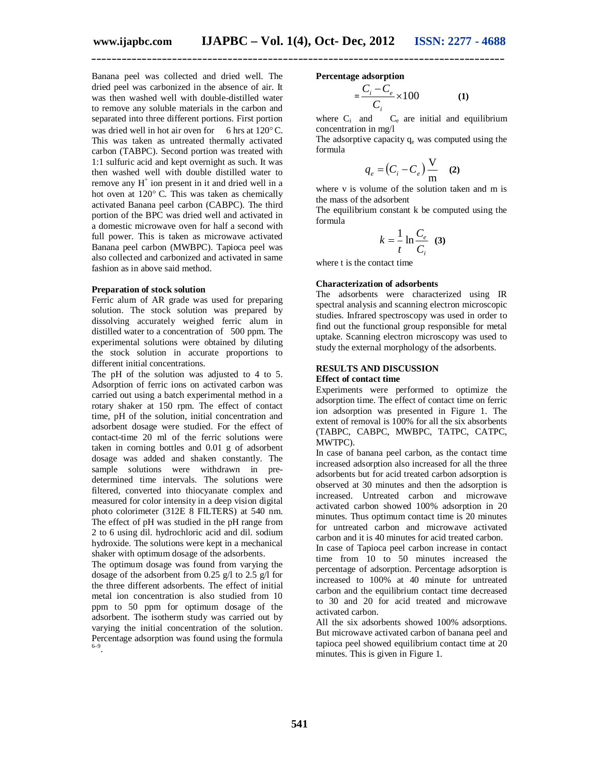Banana peel was collected and dried well. The dried peel was carbonized in the absence of air. It was then washed well with double-distilled water to remove any soluble materials in the carbon and separated into three different portions. First portion was dried well in hot air oven for 6 hrs at  $120^{\circ}$ C. This was taken as untreated thermally activated carbon (TABPC). Second portion was treated with 1:1 sulfuric acid and kept overnight as such. It was then washed well with double distilled water to remove any H<sup>+</sup> ion present in it and dried well in a hot oven at  $120^{\circ}$  C. This was taken as chemically activated Banana peel carbon (CABPC). The third portion of the BPC was dried well and activated in a domestic microwave oven for half a second with full power. This is taken as microwave activated Banana peel carbon (MWBPC). Tapioca peel was also collected and carbonized and activated in same fashion as in above said method.

#### **Preparation of stock solution**

Ferric alum of AR grade was used for preparing solution. The stock solution was prepared by dissolving accurately weighed ferric alum in distilled water to a concentration of 500 ppm. The experimental solutions were obtained by diluting the stock solution in accurate proportions to different initial concentrations.

The pH of the solution was adjusted to 4 to 5. Adsorption of ferric ions on activated carbon was carried out using a batch experimental method in a rotary shaker at 150 rpm. The effect of contact time, pH of the solution, initial concentration and adsorbent dosage were studied. For the effect of contact-time 20 ml of the ferric solutions were taken in corning bottles and 0.01 g of adsorbent dosage was added and shaken constantly. The sample solutions were withdrawn in predetermined time intervals. The solutions were filtered, converted into thiocyanate complex and measured for color intensity in a deep vision digital photo colorimeter (312E 8 FILTERS) at 540 nm. The effect of pH was studied in the pH range from 2 to 6 using dil. hydrochloric acid and dil. sodium hydroxide. The solutions were kept in a mechanical shaker with optimum dosage of the adsorbents.

The optimum dosage was found from varying the dosage of the adsorbent from 0.25 g/l to 2.5 g/l for the three different adsorbents. The effect of initial metal ion concentration is also studied from 10 ppm to 50 ppm for optimum dosage of the adsorbent. The isotherm study was carried out by varying the initial concentration of the solution. Percentage adsorption was found using the formula 6–9 .

#### **Percentage adsorption**

$$
=\frac{C_i - C_e}{C_i} \times 100\tag{1}
$$

where  $C_i$  and  $C_e$  are initial and equilibrium concentration in mg/l

The adsorptive capacity  $q_e$  was computed using the formula

$$
q_e = (C_i - C_e) \frac{V}{m}
$$
 (2)

where v is volume of the solution taken and m is the mass of the adsorbent

The equilibrium constant k be computed using the formula

$$
k = \frac{1}{t} \ln \frac{C_e}{C_i} \quad (3)
$$

where t is the contact time

#### **Characterization of adsorbents**

The adsorbents were characterized using IR spectral analysis and scanning electron microscopic studies. Infrared spectroscopy was used in order to find out the functional group responsible for metal uptake. Scanning electron microscopy was used to study the external morphology of the adsorbents.

### **RESULTS AND DISCUSSION**

#### **Effect of contact time**

Experiments were performed to optimize the adsorption time. The effect of contact time on ferric ion adsorption was presented in Figure 1. The extent of removal is 100% for all the six absorbents (TABPC, CABPC, MWBPC, TATPC, CATPC, MWTPC).

In case of banana peel carbon, as the contact time increased adsorption also increased for all the three adsorbents but for acid treated carbon adsorption is observed at 30 minutes and then the adsorption is increased. Untreated carbon and microwave activated carbon showed 100% adsorption in 20 minutes. Thus optimum contact time is 20 minutes for untreated carbon and microwave activated carbon and it is 40 minutes for acid treated carbon.

In case of Tapioca peel carbon increase in contact time from 10 to 50 minutes increased the percentage of adsorption. Percentage adsorption is increased to 100% at 40 minute for untreated carbon and the equilibrium contact time decreased to 30 and 20 for acid treated and microwave activated carbon.

All the six adsorbents showed 100% adsorptions. But microwave activated carbon of banana peel and tapioca peel showed equilibrium contact time at 20 minutes. This is given in Figure 1.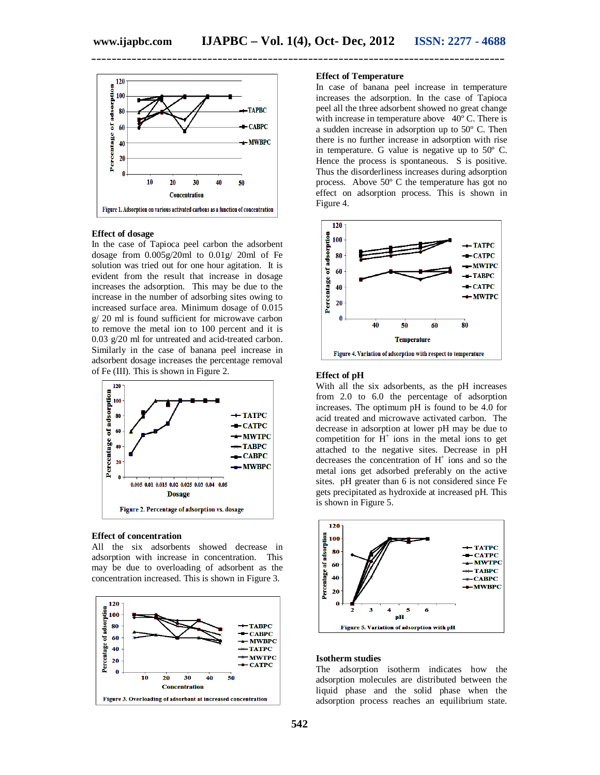

#### **Effect of dosage**

In the case of Tapioca peel carbon the adsorbent dosage from 0.005g/20ml to 0.01g/ 20ml of Fe solution was tried out for one hour agitation. It is evident from the result that increase in dosage increases the adsorption. This may be due to the increase in the number of adsorbing sites owing to increased surface area. Minimum dosage of 0.015 g/ 20 ml is found sufficient for microwave carbon to remove the metal ion to 100 percent and it is 0.03 g/20 ml for untreated and acid-treated carbon. Similarly in the case of banana peel increase in adsorbent dosage increases the percentage removal of Fe (III). This is shown in Figure 2.



#### **Effect of concentration**

All the six adsorbents showed decrease in adsorption with increase in concentration. This may be due to overloading of adsorbent as the concentration increased. This is shown in Figure 3.



#### **Effect of Temperature**

In case of banana peel increase in temperature increases the adsorption. In the case of Tapioca peel all the three adsorbent showed no great change with increase in temperature above 40° C. There is a sudden increase in adsorption up to 50º C. Then there is no further increase in adsorption with rise in temperature. G value is negative up to 50º C. Hence the process is spontaneous.  $S$  is positive. Thus the disorderliness increases during adsorption process. Above 50º C the temperature has got no effect on adsorption process. This is shown in Figure 4.



#### **Effect of pH**

With all the six adsorbents, as the pH increases from 2.0 to 6.0 the percentage of adsorption increases. The optimum pH is found to be 4.0 for acid treated and microwave activated carbon. The decrease in adsorption at lower pH may be due to competition for  $H^+$  ions in the metal ions to get attached to the negative sites. Decrease in pH decreases the concentration of H<sup>+</sup> ions and so the metal ions get adsorbed preferably on the active sites. pH greater than 6 is not considered since Fe gets precipitated as hydroxide at increased pH. This is shown in Figure 5.



#### **Isotherm studies**

The adsorption isotherm indicates how the adsorption molecules are distributed between the liquid phase and the solid phase when the adsorption process reaches an equilibrium state.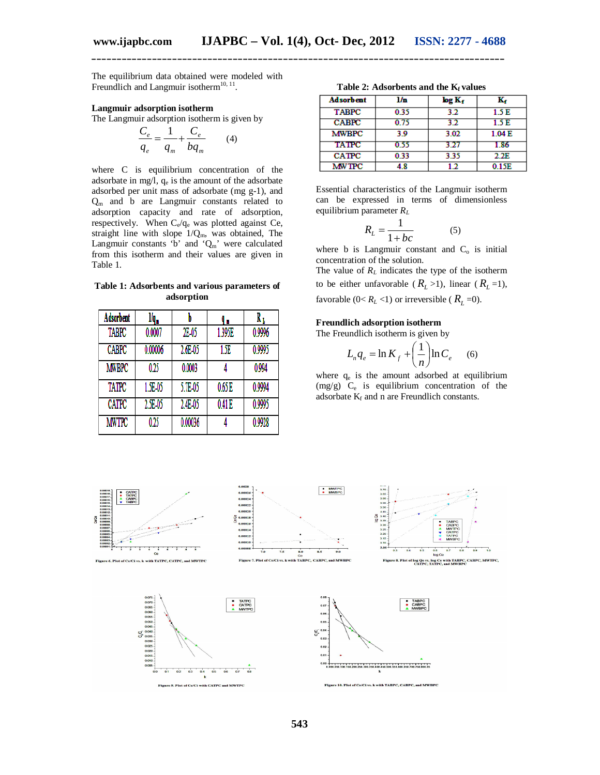The equilibrium data obtained were modeled with Freundlich and Langmuir isotherm $^{10, 11}$ .

#### **Langmuir adsorption isotherm**

The Langmuir adsorption isotherm is given by

$$
\frac{C_e}{q_e} = \frac{1}{q_m} + \frac{C_e}{bq_m} \qquad (4)
$$

where C is equilibrium concentration of the adsorbate in mg/l,  $q_e$  is the amount of the adsorbate adsorbed per unit mass of adsorbate (mg g-1), and Q<sup>m</sup> and b are Langmuir constants related to adsorption capacity and rate of adsorption, respectively. When C<sub>e</sub>/q<sub>e</sub> was plotted against Ce, straight line with slope  $1/Q_m$ , was obtained, The Langmuir constants 'b' and ' $Q_m$ ' were calculated from this isotherm and their values are given in Table 1.

| Table 1: Adsorbents and various parameters of |  |  |  |  |  |  |
|-----------------------------------------------|--|--|--|--|--|--|
| adsorption                                    |  |  |  |  |  |  |

| Adsorbent    | l/q"       |            |        | R,     |
|--------------|------------|------------|--------|--------|
| <b>TABPC</b> | 0.0007     | 2E-05      | 1.395E | 0.9996 |
| <b>CABPC</b> | 0.00006    | $2.6E-0.5$ | ĹЖ     | 0.9995 |
| <b>MWBPC</b> | 0.25       | 0.0003     |        | 0.994  |
| TATPC        | 1.5E-05    | 5.7E-05    | 0.65E  | 0.9994 |
| <b>CATPC</b> | $2.5E-0.5$ | 2.4E-05    | 0.41E  | 0.9995 |
| <b>MWTPC</b> | 0.25       | 0.00036    |        | 0.9928 |

**Table 2: Adsorbents and the Kf values**

| <b>Adsorbent</b> | l'n  | $\log K_f$ | ĸ,    |
|------------------|------|------------|-------|
| <b>TABPC</b>     | 0.35 | 32         | 1.5 E |
| <b>CABPC</b>     | 0.75 | 32         | 1.5 E |
| <b>MWBPC</b>     | 39   | 3.02       | 1.04E |
| <b>TATPC</b>     | 0.55 | 3 27       | 1.86  |
| <b>CATPC</b>     | 0.33 | 3.35       | 2.2E  |
| <b>MW TPC</b>    | 18   |            | 0.15E |

Essential characteristics of the Langmuir isotherm can be expressed in terms of dimensionless equilibrium parameter *R<sup>L</sup>*

$$
R_L = \frac{1}{1 + bc} \tag{5}
$$

where b is Langmuir constant and  $C_0$  is initial concentration of the solution.

The value of  $R_L$  indicates the type of the isotherm to be either unfavorable  $(R_L > 1)$ , linear  $(R_L = 1)$ , favorable ( $0 < R_L < 1$ ) or irreversible ( $R_L = 0$ ).

#### **Freundlich adsorption isotherm**

The Freundlich isotherm is given by

$$
L_n q_e = \ln K_f + \left(\frac{1}{n}\right) \ln C_e \qquad (6)
$$

where  $q_e$  is the amount adsorbed at equilibrium  $(mg/g)$  C<sub>e</sub> is equilibrium concentration of the adsorbate  $K_f$  and n are Freundlich constants.

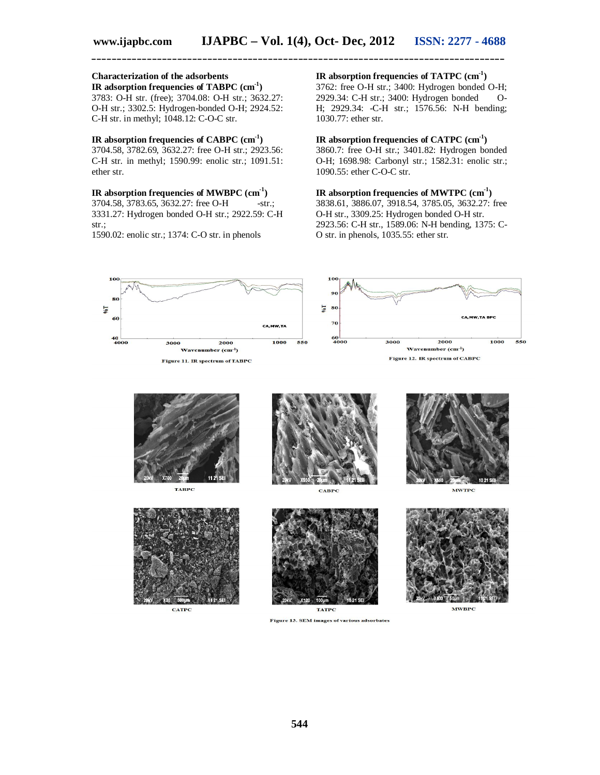# **Characterization of the adsorbents**

**IR adsorption frequencies of TABPC (cm-1 )** 3783: O-H str. (free); 3704.08: O-H str.; 3632.27: O-H str.; 3302.5: Hydrogen-bonded O-H; 2924.52: C-H str. in methyl; 1048.12: C-O-C str.

#### **IR absorption frequencies of CABPC (cm-1 )**

3704.58, 3782.69, 3632.27: free O-H str.; 2923.56: C-H str. in methyl; 1590.99: enolic str.; 1091.51: ether str.

#### **IR absorption frequencies of MWBPC (cm-1 )**

3704.58, 3783.65, 3632.27: free O-H -str.; 3331.27: Hydrogen bonded O-H str.; 2922.59: C-H str.;

1590.02: enolic str.; 1374: C-O str. in phenols

#### **IR absorption frequencies of TATPC (cm-1 )**

3762: free O-H str.; 3400: Hydrogen bonded O-H; 2929.34: C-H str.; 3400: Hydrogen bonded O-H; 2929.34: -C-H str.; 1576.56: N-H bending; 1030.77: ether str.

#### **IR absorption frequencies of CATPC (cm-1 )**

3860.7: free O-H str.; 3401.82: Hydrogen bonded O-H; 1698.98: Carbonyl str.; 1582.31: enolic str.; 1090.55: ether C-O-C str.

# **IR absorption frequencies of MWTPC (cm-1 )**

3838.61, 3886.07, 3918.54, 3785.05, 3632.27: free O-H str., 3309.25: Hydrogen bonded O-H str. 2923.56: C-H str., 1589.06: N-H bending, 1375: C-O str. in phenols, 1035.55: ether str.



Figure 13. SEM images of various adsorbates